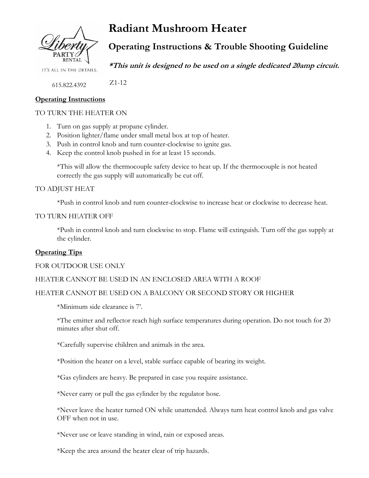

# **Radiant Mushroom Heater**

**Operating Instructions & Trouble Shooting Guideline**

IT'S ALL IN THE DETAILS.

**\*This unit is designed to be used on a single dedicated 20amp circuit.**

 Z1-12 615.822.4392

# **Operating Instructions**

# TO TURN THE HEATER ON

- 1. Turn on gas supply at propane cylinder.
- 2. Position lighter/flame under small metal box at top of heater.
- 3. Push in control knob and turn counter-clockwise to ignite gas.
- 4. Keep the control knob pushed in for at least 15 seconds.

\*This will allow the thermocouple safety device to heat up. If the thermocouple is not heated correctly the gas supply will automatically be cut off.

TO ADJUST HEAT

\*Push in control knob and turn counter-clockwise to increase heat or clockwise to decrease heat.

#### TO TURN HEATER OFF

\*Push in control knob and turn clockwise to stop. Flame will extinguish. Turn off the gas supply at the cylinder.

# **Operating Tips**

#### FOR OUTDOOR USE ONLY

### HEATER CANNOT BE USED IN AN ENCLOSED AREA WITH A ROOF

#### HEATER CANNOT BE USED ON A BALCONY OR SECOND STORY OR HIGHER

\*Minimum side clearance is 7'.

\*The emitter and reflector reach high surface temperatures during operation. Do not touch for 20 minutes after shut off.

\*Carefully supervise children and animals in the area.

\*Position the heater on a level, stable surface capable of bearing its weight.

\*Gas cylinders are heavy. Be prepared in case you require assistance.

\*Never carry or pull the gas cylinder by the regulator hose.

\*Never leave the heater turned ON while unattended. Always turn heat control knob and gas valve OFF when not in use.

\*Never use or leave standing in wind, rain or exposed areas.

\*Keep the area around the heater clear of trip hazards.